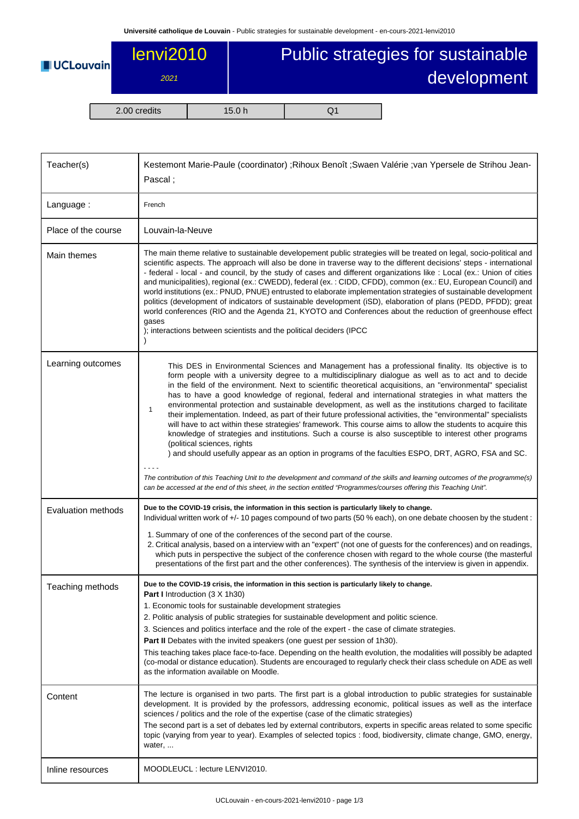| <b>UCLouvain</b> | lenvi2010<br>2021 | Public strategies for sustainable<br>development |          |  |
|------------------|-------------------|--------------------------------------------------|----------|--|
|                  | 2.00 credits      | 15.0 h                                           | $\rm O1$ |  |

| Teacher(s)          | Kestemont Marie-Paule (coordinator) ; Rihoux Benoît ; Swaen Valérie ; van Ypersele de Strihou Jean-<br>Pascal;                                                                                                                                                                                                                                                                                                                                                                                                                                                                                                                                                                                                                                                                                                                                                                                                                                                                                                                                                                                                                                                                                                                                                                           |  |  |  |  |
|---------------------|------------------------------------------------------------------------------------------------------------------------------------------------------------------------------------------------------------------------------------------------------------------------------------------------------------------------------------------------------------------------------------------------------------------------------------------------------------------------------------------------------------------------------------------------------------------------------------------------------------------------------------------------------------------------------------------------------------------------------------------------------------------------------------------------------------------------------------------------------------------------------------------------------------------------------------------------------------------------------------------------------------------------------------------------------------------------------------------------------------------------------------------------------------------------------------------------------------------------------------------------------------------------------------------|--|--|--|--|
| Language:           | French                                                                                                                                                                                                                                                                                                                                                                                                                                                                                                                                                                                                                                                                                                                                                                                                                                                                                                                                                                                                                                                                                                                                                                                                                                                                                   |  |  |  |  |
| Place of the course | Louvain-la-Neuve                                                                                                                                                                                                                                                                                                                                                                                                                                                                                                                                                                                                                                                                                                                                                                                                                                                                                                                                                                                                                                                                                                                                                                                                                                                                         |  |  |  |  |
| Main themes         | The main theme relative to sustainable developement public strategies will be treated on legal, socio-political and<br>scientific aspects. The approach will also be done in traverse way to the different decisions' steps - international<br>- federal - local - and council, by the study of cases and different organizations like : Local (ex.: Union of cities<br>and municipalities), regional (ex.: CWEDD), federal (ex.: CIDD, CFDD), common (ex.: EU, European Council) and<br>world institutions (ex.: PNUD, PNUE) entrusted to elaborate implementation strategies of sustainable development<br>politics (development of indicators of sustainable development (iSD), elaboration of plans (PEDD, PFDD); great<br>world conferences (RIO and the Agenda 21, KYOTO and Conferences about the reduction of greenhouse effect<br>gases<br>); interactions between scientists and the political deciders (IPCC                                                                                                                                                                                                                                                                                                                                                                  |  |  |  |  |
| Learning outcomes   | This DES in Environmental Sciences and Management has a professional finality. Its objective is to<br>form people with a university degree to a multidisciplinary dialogue as well as to act and to decide<br>in the field of the environment. Next to scientific theoretical acquisitions, an "environmental" specialist<br>has to have a good knowledge of regional, federal and international strategies in what matters the<br>environmental protection and sustainable development, as well as the institutions charged to facilitate<br>1<br>their implementation. Indeed, as part of their future professional activities, the "environmental" specialists<br>will have to act within these strategies' framework. This course aims to allow the students to acquire this<br>knowledge of strategies and institutions. Such a course is also susceptible to interest other programs<br>(political sciences, rights<br>) and should usefully appear as an option in programs of the faculties ESPO, DRT, AGRO, FSA and SC.<br>The contribution of this Teaching Unit to the development and command of the skills and learning outcomes of the programme(s)<br>can be accessed at the end of this sheet, in the section entitled "Programmes/courses offering this Teaching Unit". |  |  |  |  |
| Evaluation methods  | Due to the COVID-19 crisis, the information in this section is particularly likely to change.<br>Individual written work of +/- 10 pages compound of two parts (50 % each), on one debate choosen by the student:<br>1. Summary of one of the conferences of the second part of the course.<br>2. Critical analysis, based on a interview with an "expert" (not one of guests for the conferences) and on readings,<br>which puts in perspective the subject of the conference chosen with regard to the whole course (the masterful<br>presentations of the first part and the other conferences). The synthesis of the interview is given in appendix.                                                                                                                                                                                                                                                                                                                                                                                                                                                                                                                                                                                                                                 |  |  |  |  |
| Teaching methods    | Due to the COVID-19 crisis, the information in this section is particularly likely to change.<br>Part I Introduction (3 X 1h30)<br>1. Economic tools for sustainable development strategies<br>2. Politic analysis of public strategies for sustainable development and politic science.<br>3. Sciences and politics interface and the role of the expert - the case of climate strategies.<br>Part II Debates with the invited speakers (one guest per session of 1h30).<br>This teaching takes place face-to-face. Depending on the health evolution, the modalities will possibly be adapted<br>(co-modal or distance education). Students are encouraged to regularly check their class schedule on ADE as well<br>as the information available on Moodle.                                                                                                                                                                                                                                                                                                                                                                                                                                                                                                                           |  |  |  |  |
| Content             | The lecture is organised in two parts. The first part is a global introduction to public strategies for sustainable<br>development. It is provided by the professors, addressing economic, political issues as well as the interface<br>sciences / politics and the role of the expertise (case of the climatic strategies)<br>The second part is a set of debates led by external contributors, experts in specific areas related to some specific<br>topic (varying from year to year). Examples of selected topics : food, biodiversity, climate change, GMO, energy,<br>water,                                                                                                                                                                                                                                                                                                                                                                                                                                                                                                                                                                                                                                                                                                       |  |  |  |  |
| Inline resources    | MOODLEUCL: lecture LENVI2010.                                                                                                                                                                                                                                                                                                                                                                                                                                                                                                                                                                                                                                                                                                                                                                                                                                                                                                                                                                                                                                                                                                                                                                                                                                                            |  |  |  |  |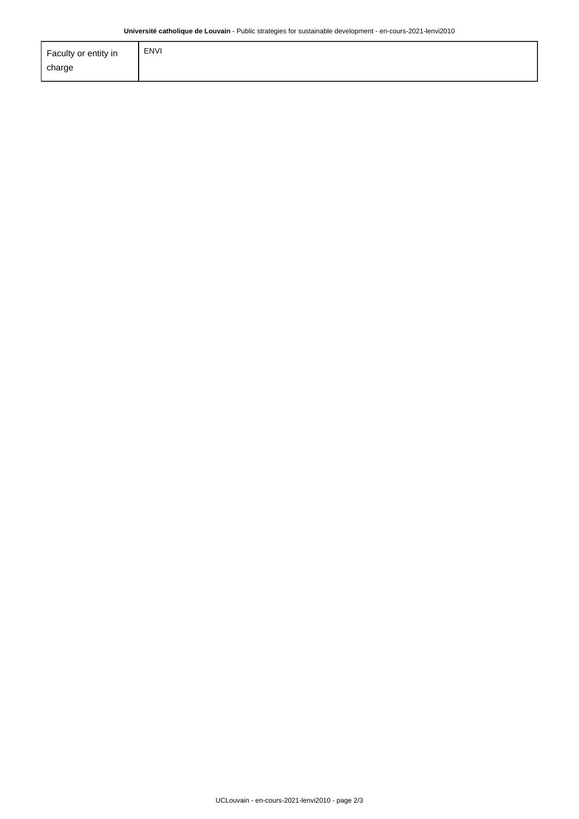| Faculty or entity in | <b>ENVI</b> |
|----------------------|-------------|
| charge               |             |